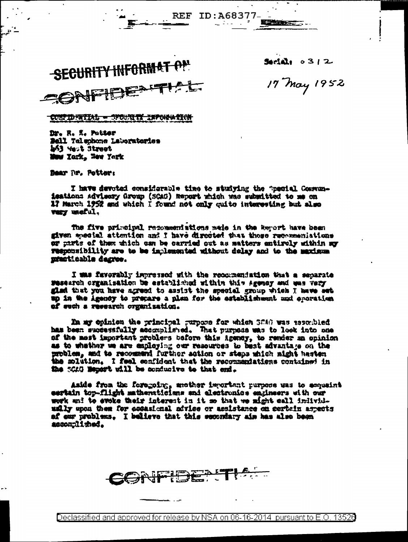SECURITY INFORMAT ON SONFIDE

 $3$   $12$ 

Katharana.

17 May 1952

CONFIDENTIAL - OPOURITY INFORMATION

Dr. R. K. Potter Bell Talephone Laboratories h43 Yest Street Muw Xork, Waw York

Bear Tr. Potter:

I have devoted considerable time to studying the "pecial Communisations advisery Group (SCAG) Report which was substited to me on 17 March 1952 and which I found not only cuite interesting but also very metul.

REF ID: A68377-

The five principal recommentations wele in the Report have been given meetal attention and I have directed that these recommeniations or parts of them thich can be carried out as matters entirely within so Tesponsibility are to be implemented without delay and to the maximum masticable degree.

I was favorably impressed with the recommendation that a separate research crganisation be established within this Agemey and was very glad that you have agreed to assist the special group which I have set up in the Agency to prepare a plan for the establisheent mod operation of such a research organization.

In my opinion the principal purpose for which SCAG was associated has been successfully accomplished. That purpose was to look into one of the most important problems before this igency, to remder an opinion as to whather we are employing our resources to bast advantage on the problem, and to recommend further action or steps which might hasten the mlation. I feel confident that the recommendations contained in the SCAG Memort will be conducive to that end.

Aside from the foregoing, another important purpose was to sequeint eertain top-flight mathematicians and electronics engineers with our work and to svoke their interest in it me that we might call individusily upon them for cocasional advise or assistance on certain aspects of our problems. I believe that this secondary aim has also been ascomplished.